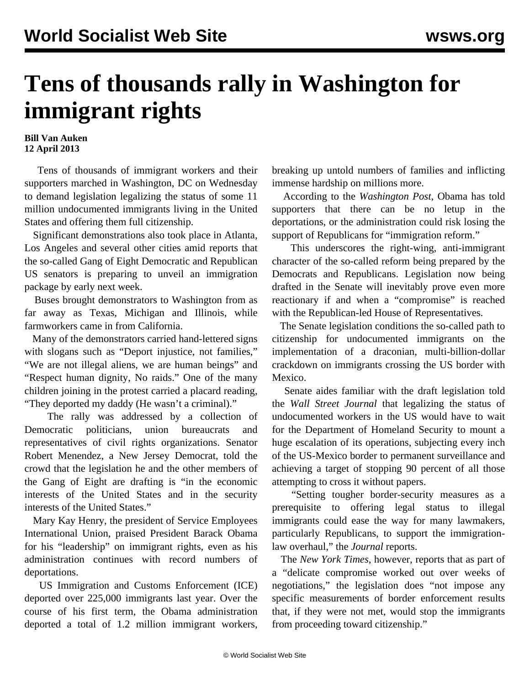## **Tens of thousands rally in Washington for immigrant rights**

## **Bill Van Auken 12 April 2013**

 Tens of thousands of immigrant workers and their supporters marched in Washington, DC on Wednesday to demand legislation legalizing the status of some 11 million undocumented immigrants living in the United States and offering them full citizenship.

 Significant demonstrations also took place in Atlanta, Los Angeles and several other cities amid reports that the so-called Gang of Eight Democratic and Republican US senators is preparing to unveil an immigration package by early next week.

 Buses brought demonstrators to Washington from as far away as Texas, Michigan and Illinois, while farmworkers came in from California.

 Many of the demonstrators carried hand-lettered signs with slogans such as "Deport injustice, not families," "We are not illegal aliens, we are human beings" and "Respect human dignity, No raids." One of the many children joining in the protest carried a placard reading, "They deported my daddy (He wasn't a criminal)."

 The rally was addressed by a collection of Democratic politicians, union bureaucrats and representatives of civil rights organizations. Senator Robert Menendez, a New Jersey Democrat, told the crowd that the legislation he and the other members of the Gang of Eight are drafting is "in the economic interests of the United States and in the security interests of the United States."

 Mary Kay Henry, the president of Service Employees International Union, praised President Barack Obama for his "leadership" on immigrant rights, even as his administration continues with record numbers of deportations.

 US Immigration and Customs Enforcement (ICE) deported over 225,000 immigrants last year. Over the course of his first term, the Obama administration deported a total of 1.2 million immigrant workers,

breaking up untold numbers of families and inflicting immense hardship on millions more.

 According to the *Washington Post*, Obama has told supporters that there can be no letup in the deportations, or the administration could risk losing the support of Republicans for "immigration reform."

 This underscores the right-wing, anti-immigrant character of the so-called reform being prepared by the Democrats and Republicans. Legislation now being drafted in the Senate will inevitably prove even more reactionary if and when a "compromise" is reached with the Republican-led House of Representatives.

 The Senate legislation conditions the so-called path to citizenship for undocumented immigrants on the implementation of a draconian, multi-billion-dollar crackdown on immigrants crossing the US border with Mexico.

 Senate aides familiar with the draft legislation told the *Wall Street Journal* that legalizing the status of undocumented workers in the US would have to wait for the Department of Homeland Security to mount a huge escalation of its operations, subjecting every inch of the US-Mexico border to permanent surveillance and achieving a target of stopping 90 percent of all those attempting to cross it without papers.

 "Setting tougher border-security measures as a prerequisite to offering legal status to illegal immigrants could ease the way for many lawmakers, particularly Republicans, to support the immigrationlaw overhaul," the *Journal* reports.

 The *New York Times*, however, reports that as part of a "delicate compromise worked out over weeks of negotiations," the legislation does "not impose any specific measurements of border enforcement results that, if they were not met, would stop the immigrants from proceeding toward citizenship."